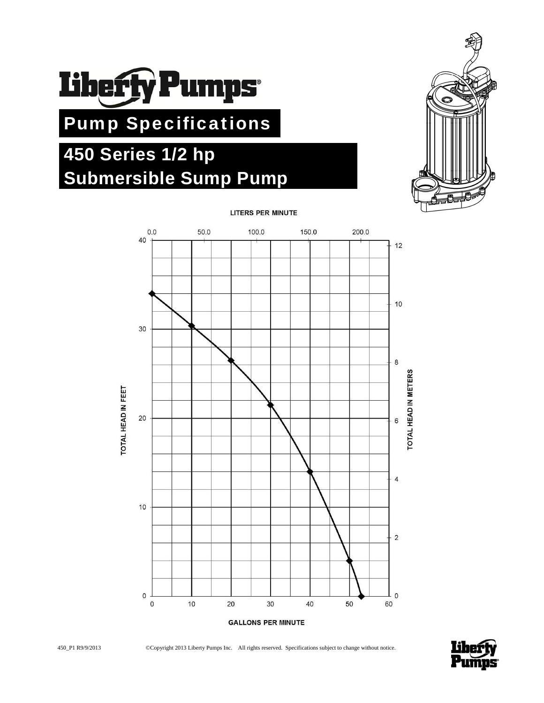

# Pump Specifications

# **450 Series 1/2 hp Submersible Sump Pump**





**LITERS PER MINUTE** 



450\_P1 R9/9/2013 ©Copyright 2013 Liberty Pumps Inc. All rights reserved. Specifications subject to change without notice.

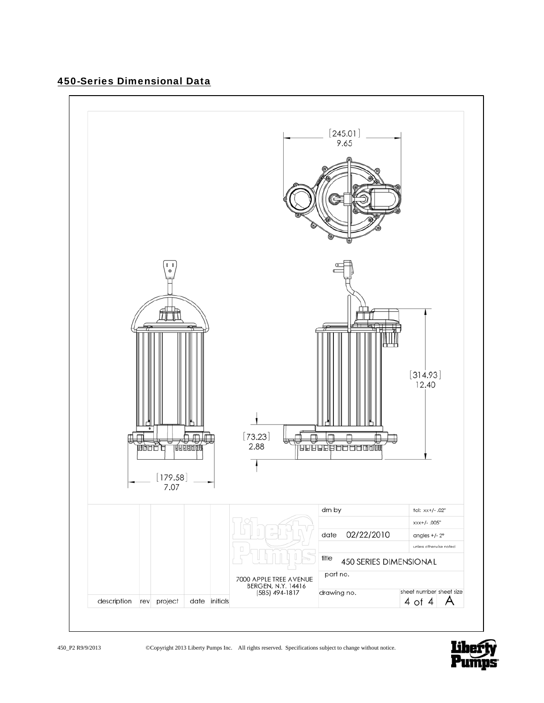# 450-Series Dimensional Data



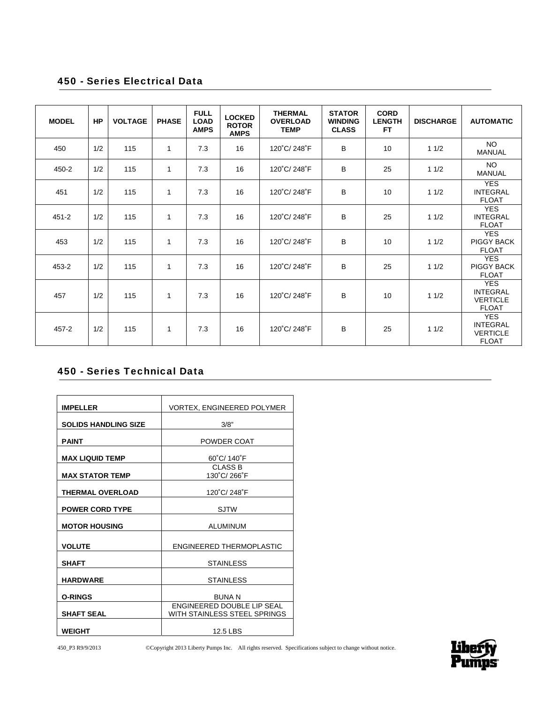### 450 - Series Electrical Data

| <b>MODEL</b> | HP  | <b>VOLTAGE</b> | <b>PHASE</b> | <b>FULL</b><br><b>LOAD</b><br><b>AMPS</b> | <b>LOCKED</b><br><b>ROTOR</b><br><b>AMPS</b> | <b>THERMAL</b><br><b>OVERLOAD</b><br><b>TEMP</b> | <b>STATOR</b><br><b>WINDING</b><br><b>CLASS</b> | <b>CORD</b><br><b>LENGTH</b><br><b>FT</b> | <b>DISCHARGE</b> | <b>AUTOMATIC</b>                                                 |
|--------------|-----|----------------|--------------|-------------------------------------------|----------------------------------------------|--------------------------------------------------|-------------------------------------------------|-------------------------------------------|------------------|------------------------------------------------------------------|
| 450          | 1/2 | 115            | $\mathbf{1}$ | 7.3                                       | 16                                           | 120°C/248°F                                      | B                                               | 10                                        | 11/2             | <b>NO</b><br><b>MANUAL</b>                                       |
| 450-2        | 1/2 | 115            | $\mathbf{1}$ | 7.3                                       | 16                                           | 120°C/248°F                                      | B                                               | 25                                        | 11/2             | <b>NO</b><br><b>MANUAL</b>                                       |
| 451          | 1/2 | 115            | $\mathbf{1}$ | 7.3                                       | 16                                           | 120°C/248°F                                      | B                                               | 10                                        | 11/2             | <b>YES</b><br><b>INTEGRAL</b><br><b>FLOAT</b>                    |
| $451 - 2$    | 1/2 | 115            | 1            | 7.3                                       | 16                                           | 120°C/248°F                                      | B                                               | 25                                        | 11/2             | <b>YES</b><br><b>INTEGRAL</b><br><b>FLOAT</b>                    |
| 453          | 1/2 | 115            | $\mathbf{1}$ | 7.3                                       | 16                                           | 120°C/248°F                                      | B                                               | 10                                        | 11/2             | <b>YES</b><br><b>PIGGY BACK</b><br><b>FLOAT</b>                  |
| 453-2        | 1/2 | 115            | $\mathbf{1}$ | 7.3                                       | 16                                           | 120°C/248°F                                      | B                                               | 25                                        | 11/2             | <b>YES</b><br><b>PIGGY BACK</b><br><b>FLOAT</b>                  |
| 457          | 1/2 | 115            | $\mathbf{1}$ | 7.3                                       | 16                                           | 120°C/248°F                                      | B                                               | 10                                        | 11/2             | <b>YES</b><br><b>INTEGRAL</b><br><b>VERTICLE</b><br><b>FLOAT</b> |
| $457 - 2$    | 1/2 | 115            | 1            | 7.3                                       | 16                                           | 120°C/248°F                                      | B                                               | 25                                        | 11/2             | <b>YES</b><br><b>INTEGRAL</b><br><b>VERTICLE</b><br><b>FLOAT</b> |

## 450 - Series Technical Data

| <b>IMPELLER</b>             | <b>VORTEX, ENGINEERED POLYMER</b> |
|-----------------------------|-----------------------------------|
| <b>SOLIDS HANDLING SIZE</b> | 3/8"                              |
|                             |                                   |
| <b>PAINT</b>                | POWDER COAT                       |
| <b>MAX LIQUID TEMP</b>      | $60^{\circ}$ C/140 $^{\circ}$ F   |
|                             | <b>CLASS B</b>                    |
|                             |                                   |
| <b>MAX STATOR TEMP</b>      | 130°C/266°F                       |
|                             |                                   |
| <b>THERMAL OVERLOAD</b>     | 120°C/248°F                       |
|                             |                                   |
| <b>POWER CORD TYPE</b>      | <b>SJTW</b>                       |
|                             |                                   |
| <b>MOTOR HOUSING</b>        | <b>ALUMINUM</b>                   |
|                             |                                   |
|                             |                                   |
| <b>VOLUTE</b>               | ENGINEERED THERMOPLASTIC          |
|                             |                                   |
| <b>SHAFT</b>                | <b>STAINLESS</b>                  |
|                             |                                   |
| <b>HARDWARE</b>             | <b>STAINLESS</b>                  |
|                             |                                   |
| <b>O-RINGS</b>              | <b>BUNAN</b>                      |
|                             | ENGINEERED DOUBLE LIP SEAL        |
| <b>SHAFT SEAL</b>           | WITH STAINLESS STEEL SPRINGS      |
|                             |                                   |
| <b>WEIGHT</b>               | 12.5 LBS                          |
|                             |                                   |

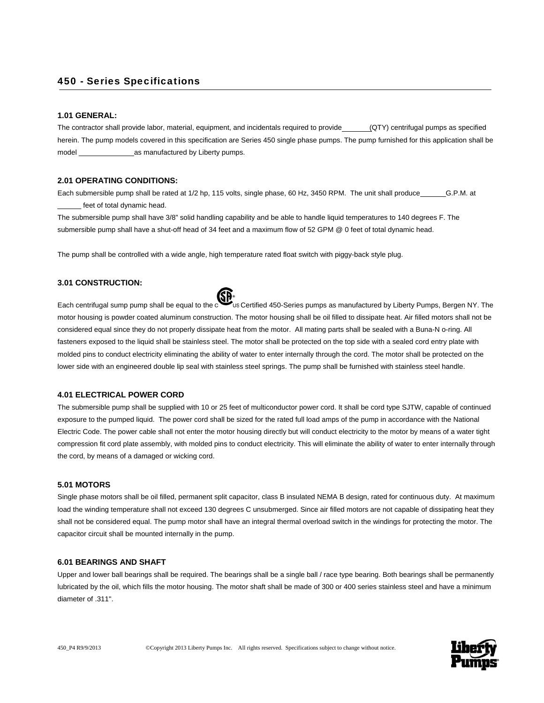#### 450 - Series Specifications

#### **1.01 GENERAL:**

The contractor shall provide labor, material, equipment, and incidentals required to provide (QTY) centrifugal pumps as specified herein. The pump models covered in this specification are Series 450 single phase pumps. The pump furnished for this application shall be model \_\_\_\_\_\_\_\_\_\_\_\_\_\_as manufactured by Liberty pumps.

#### **2.01 OPERATING CONDITIONS:**

Each submersible pump shall be rated at 1/2 hp, 115 volts, single phase, 60 Hz, 3450 RPM. The unit shall produce \_\_\_\_\_\_G.P.M. at \_\_\_\_\_\_ feet of total dynamic head.

The submersible pump shall have 3/8" solid handling capability and be able to handle liquid temperatures to 140 degrees F. The submersible pump shall have a shut-off head of 34 feet and a maximum flow of 52 GPM @ 0 feet of total dynamic head.

The pump shall be controlled with a wide angle, high temperature rated float switch with piggy-back style plug.

#### **3.01 CONSTRUCTION:**

Each centrifugal sump pump shall be equal to the Certified 450-Series pumps as manufactured by Liberty Pumps, Bergen NY. The motor housing is powder coated aluminum construction. The motor housing shall be oil filled to dissipate heat. Air filled motors shall not be considered equal since they do not properly dissipate heat from the motor. All mating parts shall be sealed with a Buna-N o-ring. All fasteners exposed to the liquid shall be stainless steel. The motor shall be protected on the top side with a sealed cord entry plate with molded pins to conduct electricity eliminating the ability of water to enter internally through the cord. The motor shall be protected on the lower side with an engineered double lip seal with stainless steel springs. The pump shall be furnished with stainless steel handle.

#### **4.01 ELECTRICAL POWER CORD**

The submersible pump shall be supplied with 10 or 25 feet of multiconductor power cord. It shall be cord type SJTW, capable of continued exposure to the pumped liquid. The power cord shall be sized for the rated full load amps of the pump in accordance with the National Electric Code. The power cable shall not enter the motor housing directly but will conduct electricity to the motor by means of a water tight compression fit cord plate assembly, with molded pins to conduct electricity. This will eliminate the ability of water to enter internally through the cord, by means of a damaged or wicking cord.

#### **5.01 MOTORS**

Single phase motors shall be oil filled, permanent split capacitor, class B insulated NEMA B design, rated for continuous duty. At maximum load the winding temperature shall not exceed 130 degrees C unsubmerged. Since air filled motors are not capable of dissipating heat they shall not be considered equal. The pump motor shall have an integral thermal overload switch in the windings for protecting the motor. The capacitor circuit shall be mounted internally in the pump.

#### **6.01 BEARINGS AND SHAFT**

Upper and lower ball bearings shall be required. The bearings shall be a single ball / race type bearing. Both bearings shall be permanently lubricated by the oil, which fills the motor housing. The motor shaft shall be made of 300 or 400 series stainless steel and have a minimum diameter of .311".